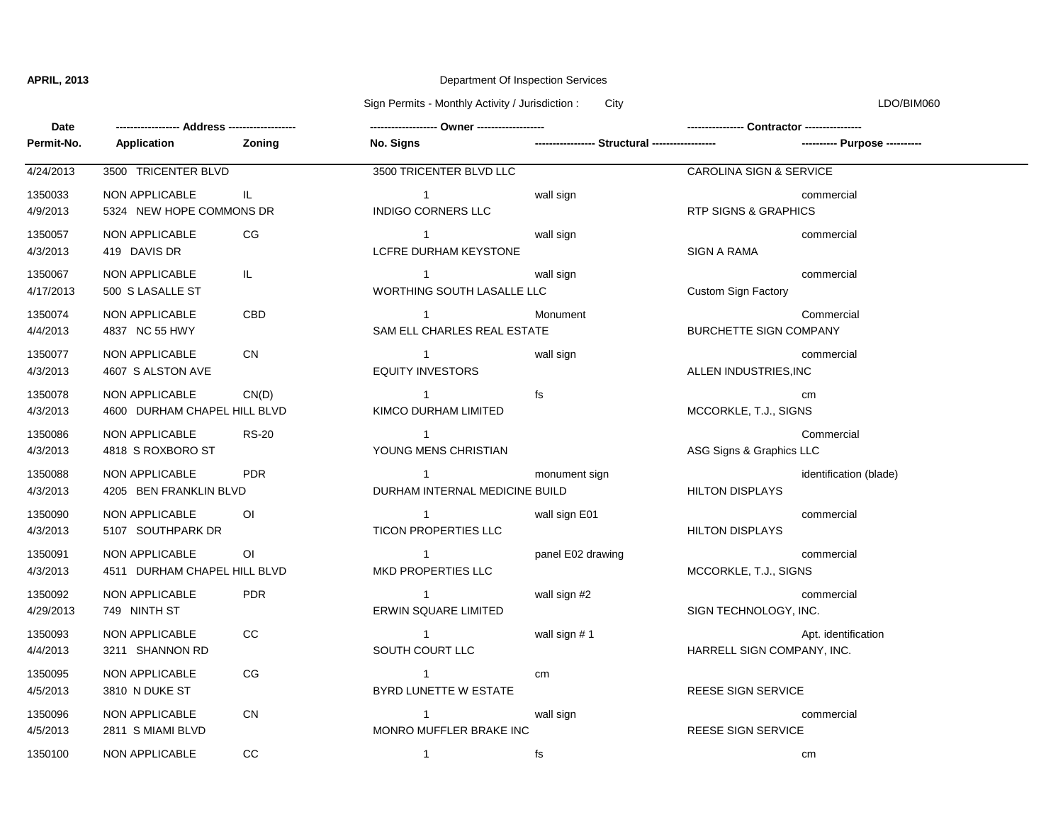# **APRIL, 2013** Department Of Inspection Services

Sign Permits - Monthly Activity / Jurisdiction : City Communication : City LDO/BIM060

| Date                 |                                                |                |                                                  |                                                 |                                    |                               |  |
|----------------------|------------------------------------------------|----------------|--------------------------------------------------|-------------------------------------------------|------------------------------------|-------------------------------|--|
| Permit-No.           | Application                                    | Zoning         | No. Signs                                        | ----------------- Structural ------------------ |                                    | ---------- Purpose ---------- |  |
| 4/24/2013            | 3500 TRICENTER BLVD                            |                | 3500 TRICENTER BLVD LLC                          |                                                 | <b>CAROLINA SIGN &amp; SERVICE</b> |                               |  |
| 1350033<br>4/9/2013  | NON APPLICABLE<br>5324 NEW HOPE COMMONS DR     | IL.            | $1 \quad$<br><b>INDIGO CORNERS LLC</b>           | wall sign                                       | <b>RTP SIGNS &amp; GRAPHICS</b>    | commercial                    |  |
| 1350057<br>4/3/2013  | NON APPLICABLE<br>419 DAVIS DR                 | CG.            | $\overline{1}$<br>LCFRE DURHAM KEYSTONE          | wall sign                                       | SIGN A RAMA                        | commercial                    |  |
| 1350067<br>4/17/2013 | NON APPLICABLE<br>500 S LASALLE ST             | IL.            | $\mathbf 1$<br>WORTHING SOUTH LASALLE LLC        | wall sign                                       | Custom Sign Factory                | commercial                    |  |
| 1350074<br>4/4/2013  | <b>NON APPLICABLE</b><br>4837 NC 55 HWY        | CBD            | $\mathbf{1}$<br>SAM ELL CHARLES REAL ESTATE      | Monument                                        | <b>BURCHETTE SIGN COMPANY</b>      | Commercial                    |  |
| 1350077<br>4/3/2013  | <b>NON APPLICABLE</b><br>4607 S ALSTON AVE     | <b>CN</b>      | $\overline{1}$<br><b>EQUITY INVESTORS</b>        | wall sign                                       | ALLEN INDUSTRIES, INC              | commercial                    |  |
| 1350078<br>4/3/2013  | NON APPLICABLE<br>4600 DURHAM CHAPEL HILL BLVD | CN(D)          | $\sim$ 1<br>KIMCO DURHAM LIMITED                 | fs                                              | MCCORKLE, T.J., SIGNS              | cm                            |  |
| 1350086<br>4/3/2013  | NON APPLICABLE<br>4818 S ROXBORO ST            | <b>RS-20</b>   | $\overline{1}$<br>YOUNG MENS CHRISTIAN           |                                                 | ASG Signs & Graphics LLC           | Commercial                    |  |
| 1350088<br>4/3/2013  | NON APPLICABLE<br>4205 BEN FRANKLIN BLVD       | <b>PDR</b>     | $\overline{1}$<br>DURHAM INTERNAL MEDICINE BUILD | monument sign                                   | <b>HILTON DISPLAYS</b>             | identification (blade)        |  |
| 1350090<br>4/3/2013  | NON APPLICABLE<br>5107 SOUTHPARK DR            | $\overline{O}$ | $\overline{1}$<br><b>TICON PROPERTIES LLC</b>    | wall sign E01                                   | <b>HILTON DISPLAYS</b>             | commercial                    |  |
| 1350091<br>4/3/2013  | NON APPLICABLE<br>4511 DURHAM CHAPEL HILL BLVD | O <sub>l</sub> | $\overline{1}$<br><b>MKD PROPERTIES LLC</b>      | panel E02 drawing                               | MCCORKLE, T.J., SIGNS              | commercial                    |  |
| 1350092<br>4/29/2013 | NON APPLICABLE<br>749 NINTH ST                 | <b>PDR</b>     | $\overline{1}$<br>ERWIN SQUARE LIMITED           | wall sign #2                                    | SIGN TECHNOLOGY, INC.              | commercial                    |  |
| 1350093<br>4/4/2013  | <b>NON APPLICABLE</b><br>3211 SHANNON RD       | CC             | $\sim$ 1<br>SOUTH COURT LLC                      | wall sign #1                                    | HARRELL SIGN COMPANY, INC.         | Apt. identification           |  |
| 1350095<br>4/5/2013  | NON APPLICABLE<br>3810 N DUKE ST               | CG             | $\overline{1}$<br>BYRD LUNETTE W ESTATE          | cm                                              | REESE SIGN SERVICE                 |                               |  |
| 1350096<br>4/5/2013  | <b>NON APPLICABLE</b><br>2811 S MIAMI BLVD     | <b>CN</b>      | $\mathbf{1}$<br>MONRO MUFFLER BRAKE INC          | wall sign                                       | REESE SIGN SERVICE                 | commercial                    |  |
| 1350100              | NON APPLICABLE                                 | <b>CC</b>      | $\mathbf{1}$                                     | fs                                              |                                    | cm                            |  |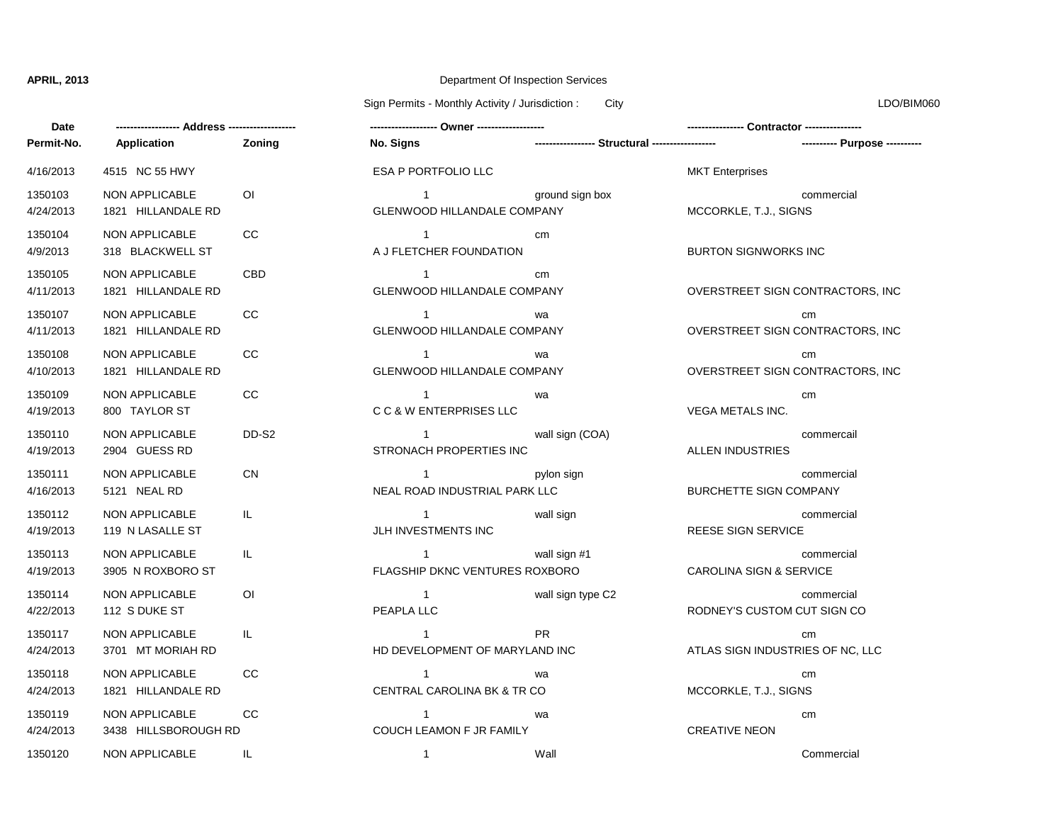## **APRIL, 2013** Department Of Inspection Services

Sign Permits - Monthly Activity / Jurisdiction : City City Communication : City Communication : City Communication : City Communication : City Communication : City Communication : City Communication : City Communication :

| Date                 |                                               |                |                                                      |                                                 |                                             |  |
|----------------------|-----------------------------------------------|----------------|------------------------------------------------------|-------------------------------------------------|---------------------------------------------|--|
| Permit-No.           | Application                                   | <b>Zoning</b>  | No. Signs                                            | ----------------- Structural ------------------ | ----------- Pur                             |  |
| 4/16/2013            | 4515 NC 55 HWY                                |                | ESA P PORTFOLIO LLC                                  |                                                 | <b>MKT</b> Enterprises                      |  |
| 1350103<br>4/24/2013 | NON APPLICABLE<br>1821 HILLANDALE RD          | 0I             | $\mathbf{1}$<br><b>GLENWOOD HILLANDALE COMPANY</b>   | ground sign box                                 | commercial<br>MCCORKLE, T.J., SIGNS         |  |
| 1350104<br>4/9/2013  | NON APPLICABLE<br>318 BLACKWELL ST            | <b>CC</b>      | $\mathbf{1}$<br>A J FLETCHER FOUNDATION              | cm                                              | <b>BURTON SIGNWORKS INC</b>                 |  |
| 1350105<br>4/11/2013 | NON APPLICABLE<br>1821 HILLANDALE RD          | <b>CBD</b>     | $\mathbf{1}$<br><b>GLENWOOD HILLANDALE COMPANY</b>   | cm                                              | OVERSTREET SIGN CONTRACTO                   |  |
| 1350107<br>4/11/2013 | NON APPLICABLE<br>1821 HILLANDALE RD          | <b>CC</b>      | $\overline{1}$<br><b>GLENWOOD HILLANDALE COMPANY</b> | wa                                              | cm<br>OVERSTREET SIGN CONTRACTO             |  |
| 1350108<br>4/10/2013 | NON APPLICABLE<br>1821 HILLANDALE RD          | <b>CC</b>      | $\mathbf{1}$<br><b>GLENWOOD HILLANDALE COMPANY</b>   | wa                                              | cm<br>OVERSTREET SIGN CONTRACTO             |  |
| 1350109<br>4/19/2013 | NON APPLICABLE<br>800 TAYLOR ST               | cc             | $\mathbf{1}$<br>C C & W ENTERPRISES LLC              | wa                                              | cm<br><b>VEGA METALS INC.</b>               |  |
| 1350110<br>4/19/2013 | NON APPLICABLE<br>2904 GUESS RD               | DD-S2          | $\mathbf{1}$<br>STRONACH PROPERTIES INC              | wall sign (COA)                                 | commercail<br><b>ALLEN INDUSTRIES</b>       |  |
| 1350111<br>4/16/2013 | <b>NON APPLICABLE</b><br>5121 NEAL RD         | <b>CN</b>      | $\mathbf{1}$<br>NEAL ROAD INDUSTRIAL PARK LLC        | pylon sign                                      | commercial<br><b>BURCHETTE SIGN COMPANY</b> |  |
| 1350112<br>4/19/2013 | NON APPLICABLE<br>119 N LASALLE ST            | IL.            | $\mathbf{1}$<br>JLH INVESTMENTS INC                  | wall sign                                       | commercial<br>REESE SIGN SERVICE            |  |
| 1350113<br>4/19/2013 | <b>NON APPLICABLE</b><br>3905 N ROXBORO ST    | IL.            | $\mathbf{1}$<br>FLAGSHIP DKNC VENTURES ROXBORO       | wall sign #1                                    | commercial<br>CAROLINA SIGN & SERVICE       |  |
| 1350114<br>4/22/2013 | NON APPLICABLE<br>112 S DUKE ST               | $\overline{O}$ | $\mathbf{1}$<br>PEAPLA LLC                           | wall sign type C2                               | commercial<br>RODNEY'S CUSTOM CUT SIGN C    |  |
| 1350117<br>4/24/2013 | NON APPLICABLE<br>3701 MT MORIAH RD           | IL.            | $\mathbf{1}$<br>HD DEVELOPMENT OF MARYLAND INC       | <b>PR</b>                                       | cm<br>ATLAS SIGN INDUSTRIES OF NC,          |  |
| 1350118<br>4/24/2013 | NON APPLICABLE<br>1821 HILLANDALE RD          | <b>CC</b>      | $\mathbf{1}$<br>CENTRAL CAROLINA BK & TR CO          | wa                                              | cm<br>MCCORKLE, T.J., SIGNS                 |  |
| 1350119<br>4/24/2013 | <b>NON APPLICABLE</b><br>3438 HILLSBOROUGH RD | CC.            | $\mathbf{1}$<br>COUCH LEAMON F JR FAMILY             | wa                                              | cm<br><b>CREATIVE NEON</b>                  |  |
| 1350120              | <b>NON APPLICABLE</b>                         | IL             | $\mathbf{1}$                                         | Wall                                            | Commercial                                  |  |

**Permit-No. Application No. Signs ----------------- Structural ------------------ ---------- Purpose ----------** 1 1 1 1 1 1 1 1 1 1 1 1 1 1 1 4/24/2013 3438 HILLSBOROUGH RD COUCH LEAMON F JR FAMILY CREATIVE NEON 4/24/2013 1821 HILLANDALE RD CENTRAL CAROLINA BK & TR CO MCCORKLE, T.J., SIGNS 1350119 NON APPLICABLE CC wa cm HD DEVELOPMENT OF MARYLAND INC ATLAS SIGN INDUSTRIES OF NC, LLC 1350118 NON APPLICABLE CC wa cm **4/22/2013 12/2013 12:20:20 PEAPLA LLC** RODNEY'S CUSTOM CUT SIGN CO 1350117 NON APPLICABLE IL PR cm FLAGSHIP DKNC VENTURES ROXBORO CAROLINA SIGN & SERVICE 4/19/2013 119 N LASALLE ST JLH INVESTMENTS INC REESE SIGN SERVICE 1350113 NON APPLICABLE IL wall sign #1 commercial NEAL ROAD INDUSTRIAL PARK LLC BURCHETTE SIGN COMPANY 1350112 NON APPLICABLE IL wall sign commercial STRONACH PROPERTIES INC ALLEN INDUSTRIES 1350111 NON APPLICABLE CN CN 2009 COMPRESS 2009 COMPRESS 2009 COMPRESS 2009 COMPRESS 2009 COMPRESS 2009 COMPRESS C C & W ENTERPRISES LLC 
UNITERER STATE STATE THAT AN INC. 1350110 NON APPLICABLE DD-S2 wall sign (COA) commercail GLENWOOD HILLANDALE COMPANY **Alternative COVERSTREET SIGN CONTRACTORS**, INC 1350109 NON APPLICABLE CC wa cm GLENWOOD HILLANDALE COMPANY **A CONTRACTORS**, INC 1350108 NON APPLICABLE CC wa cm GLENWOOD HILLANDALE COMPANY **ALL AND ALCONST CONTRACTORS, INC** OVERSTREET SIGN CONTRACTORS, INC 1350107 NON APPLICABLE CC wa cm A J FLETCHER FOUNDATION BURTON SIGNWORKS INC GLENWOOD HILLANDALE COMPANY MCCORKLE, T.J., SIGNS ESA P PORTFOLIO LLC **Annual Estate MKT** Enterprises 1350103 NON APPLICABLE OI ground sign box commercial

**------------------ Address ------------------- ------------------- Owner ------------------- ---------------- Contractor ---------------** wall sign type C2 commercial